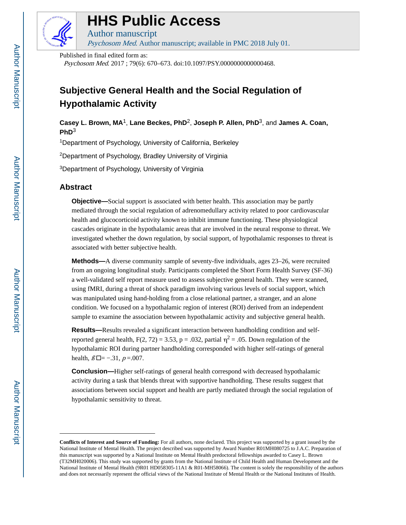

# **HHS Public Access**

Author manuscript Psychosom Med. Author manuscript; available in PMC 2018 July 01.

Published in final edited form as:

Psychosom Med. 2017 ; 79(6): 670–673. doi:10.1097/PSY.0000000000000468.

## **Subjective General Health and the Social Regulation of Hypothalamic Activity**

**Casey L. Brown, MA**1, **Lane Beckes, PhD**2, **Joseph P. Allen, PhD**3, and **James A. Coan, PhD**<sup>3</sup>

<sup>1</sup>Department of Psychology, University of California, Berkeley

<sup>2</sup>Department of Psychology, Bradley University of Virginia

<sup>3</sup>Department of Psychology, University of Virginia

## **Abstract**

**Objective—**Social support is associated with better health. This association may be partly mediated through the social regulation of adrenomedullary activity related to poor cardiovascular health and glucocorticoid activity known to inhibit immune functioning. These physiological cascades originate in the hypothalamic areas that are involved in the neural response to threat. We investigated whether the down regulation, by social support, of hypothalamic responses to threat is associated with better subjective health.

**Methods—**A diverse community sample of seventy-five individuals, ages 23–26, were recruited from an ongoing longitudinal study. Participants completed the Short Form Health Survey (SF-36) a well-validated self report measure used to assess subjective general health. They were scanned, using fMRI, during a threat of shock paradigm involving various levels of social support, which was manipulated using hand-holding from a close relational partner, a stranger, and an alone condition. We focused on a hypothalamic region of interest (ROI) derived from an independent sample to examine the association between hypothalamic activity and subjective general health.

**Results—**Results revealed a significant interaction between handholding condition and selfreported general health,  $F(2, 72) = 3.53$ ,  $p = .032$ , partial  $\eta^2 = .05$ . Down regulation of the hypothalamic ROI during partner handholding corresponded with higher self-ratings of general health,  $\beta \Box = -.31$ ,  $p = .007$ .

**Conclusion—**Higher self-ratings of general health correspond with decreased hypothalamic activity during a task that blends threat with supportive handholding. These results suggest that associations between social support and health are partly mediated through the social regulation of hypothalamic sensitivity to threat.

**Conflicts of Interest and Source of Funding:** For all authors, none declared. This project was supported by a grant issued by the National Institute of Mental Health. The project described was supported by Award Number R01MH080725 to J.A.C. Preparation of this manuscript was supported by a National Institute on Mental Health predoctoral fellowships awarded to Casey L. Brown (T32MH020006). This study was supported by grants from the National Institute of Child Health and Human Development and the National Institute of Mental Health (9R01 HD058305-11A1 & R01-MH58066). The content is solely the responsibility of the authors and does not necessarily represent the official views of the National Institute of Mental Health or the National Institutes of Health.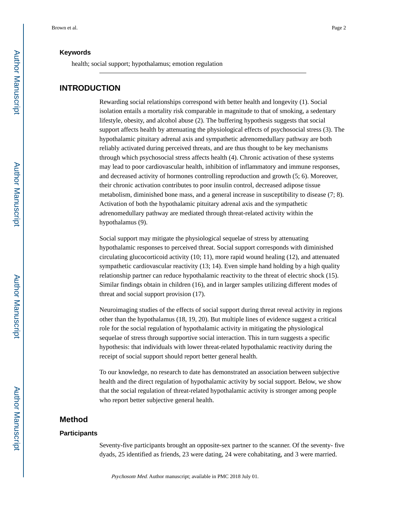#### **Keywords**

health; social support; hypothalamus; emotion regulation

#### **INTRODUCTION**

Rewarding social relationships correspond with better health and longevity (1). Social isolation entails a mortality risk comparable in magnitude to that of smoking, a sedentary lifestyle, obesity, and alcohol abuse (2). The buffering hypothesis suggests that social support affects health by attenuating the physiological effects of psychosocial stress (3). The hypothalamic pituitary adrenal axis and sympathetic adrenomedullary pathway are both reliably activated during perceived threats, and are thus thought to be key mechanisms through which psychosocial stress affects health (4). Chronic activation of these systems may lead to poor cardiovascular health, inhibition of inflammatory and immune responses, and decreased activity of hormones controlling reproduction and growth (5; 6). Moreover, their chronic activation contributes to poor insulin control, decreased adipose tissue metabolism, diminished bone mass, and a general increase in susceptibility to disease (7; 8). Activation of both the hypothalamic pituitary adrenal axis and the sympathetic adrenomedullary pathway are mediated through threat-related activity within the hypothalamus (9).

Social support may mitigate the physiological sequelae of stress by attenuating hypothalamic responses to perceived threat. Social support corresponds with diminished circulating glucocorticoid activity (10; 11), more rapid wound healing (12), and attenuated sympathetic cardiovascular reactivity (13; 14). Even simple hand holding by a high quality relationship partner can reduce hypothalamic reactivity to the threat of electric shock (15). Similar findings obtain in children (16), and in larger samples utilizing different modes of threat and social support provision (17).

Neuroimaging studies of the effects of social support during threat reveal activity in regions other than the hypothalamus (18, 19, 20). But multiple lines of evidence suggest a critical role for the social regulation of hypothalamic activity in mitigating the physiological sequelae of stress through supportive social interaction. This in turn suggests a specific hypothesis: that individuals with lower threat-related hypothalamic reactivity during the receipt of social support should report better general health.

To our knowledge, no research to date has demonstrated an association between subjective health and the direct regulation of hypothalamic activity by social support. Below, we show that the social regulation of threat-related hypothalamic activity is stronger among people who report better subjective general health.

## **Method**

#### **Participants**

Seventy-five participants brought an opposite-sex partner to the scanner. Of the seventy- five dyads, 25 identified as friends, 23 were dating, 24 were cohabitating, and 3 were married.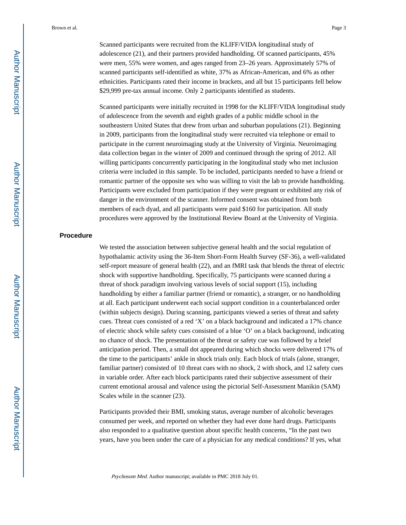Scanned participants were recruited from the KLIFF/VIDA longitudinal study of adolescence (21), and their partners provided handholding. Of scanned participants, 45% were men, 55% were women, and ages ranged from 23–26 years. Approximately 57% of scanned participants self-identified as white, 37% as African-American, and 6% as other ethnicities. Participants rated their income in brackets, and all but 15 participants fell below \$29,999 pre-tax annual income. Only 2 participants identified as students.

Scanned participants were initially recruited in 1998 for the KLIFF/VIDA longitudinal study of adolescence from the seventh and eighth grades of a public middle school in the southeastern United States that drew from urban and suburban populations (21). Beginning in 2009, participants from the longitudinal study were recruited via telephone or email to participate in the current neuroimaging study at the University of Virginia. Neuroimaging data collection began in the winter of 2009 and continued through the spring of 2012. All willing participants concurrently participating in the longitudinal study who met inclusion criteria were included in this sample. To be included, participants needed to have a friend or romantic partner of the opposite sex who was willing to visit the lab to provide handholding. Participants were excluded from participation if they were pregnant or exhibited any risk of danger in the environment of the scanner. Informed consent was obtained from both members of each dyad, and all participants were paid \$160 for participation. All study procedures were approved by the Institutional Review Board at the University of Virginia.

#### **Procedure**

We tested the association between subjective general health and the social regulation of hypothalamic activity using the 36-Item Short-Form Health Survey (SF-36), a well-validated self-report measure of general health (22), and an fMRI task that blends the threat of electric shock with supportive handholding. Specifically, 75 participants were scanned during a threat of shock paradigm involving various levels of social support (15), including handholding by either a familiar partner (friend or romantic), a stranger, or no handholding at all. Each participant underwent each social support condition in a counterbalanced order (within subjects design). During scanning, participants viewed a series of threat and safety cues. Threat cues consisted of a red 'X' on a black background and indicated a 17% chance of electric shock while safety cues consisted of a blue 'O' on a black background, indicating no chance of shock. The presentation of the threat or safety cue was followed by a brief anticipation period. Then, a small dot appeared during which shocks were delivered 17% of the time to the participants' ankle in shock trials only. Each block of trials (alone, stranger, familiar partner) consisted of 10 threat cues with no shock, 2 with shock, and 12 safety cues in variable order. After each block participants rated their subjective assessment of their current emotional arousal and valence using the pictorial Self-Assessment Manikin (SAM) Scales while in the scanner (23).

Participants provided their BMI, smoking status, average number of alcoholic beverages consumed per week, and reported on whether they had ever done hard drugs. Participants also responded to a qualitative question about specific health concerns, "In the past two years, have you been under the care of a physician for any medical conditions? If yes, what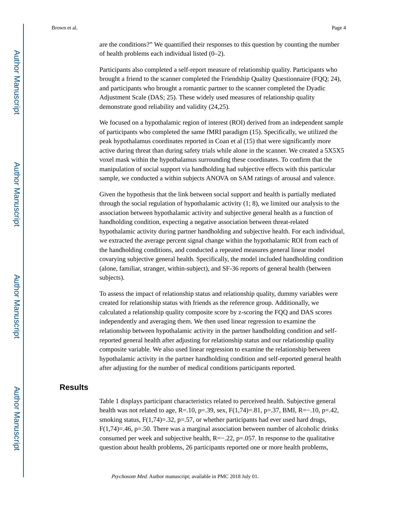are the conditions?" We quantified their responses to this question by counting the number of health problems each individual listed (0–2).

Participants also completed a self-report measure of relationship quality. Participants who brought a friend to the scanner completed the Friendship Quality Questionnaire (FQQ; 24), and participants who brought a romantic partner to the scanner completed the Dyadic Adjustment Scale (DAS; 25). These widely used measures of relationship quality demonstrate good reliability and validity (24,25).

We focused on a hypothalamic region of interest (ROI) derived from an independent sample of participants who completed the same fMRI paradigm (15). Specifically, we utilized the peak hypothalamus coordinates reported in Coan et al (15) that were significantly more active during threat than during safety trials while alone in the scanner. We created a 5X5X5 voxel mask within the hypothalamus surrounding these coordinates. To confirm that the manipulation of social support via handholding had subjective effects with this particular sample, we conducted a within subjects ANOVA on SAM ratings of arousal and valence.

Given the hypothesis that the link between social support and health is partially mediated through the social regulation of hypothalamic activity (1; 8), we limited our analysis to the association between hypothalamic activity and subjective general health as a function of handholding condition, expecting a negative association between threat-related hypothalamic activity during partner handholding and subjective health. For each individual, we extracted the average percent signal change within the hypothalamic ROI from each of the handholding conditions, and conducted a repeated measures general linear model covarying subjective general health. Specifically, the model included handholding condition (alone, familiar, stranger, within-subject), and SF-36 reports of general health (between subjects).

To assess the impact of relationship status and relationship quality, dummy variables were created for relationship status with friends as the reference group. Additionally, we calculated a relationship quality composite score by z-scoring the FQQ and DAS scores independently and averaging them. We then used linear regression to examine the relationship between hypothalamic activity in the partner handholding condition and selfreported general health after adjusting for relationship status and our relationship quality composite variable. We also used linear regression to examine the relationship between hypothalamic activity in the partner handholding condition and self-reported general health after adjusting for the number of medical conditions participants reported.

## **Results**

Table 1 displays participant characteristics related to perceived health. Subjective general health was not related to age,  $R=10$ ,  $p=.39$ , sex,  $F(1,74)=.81$ ,  $p=.37$ , BMI,  $R=-.10$ ,  $p=.42$ , smoking status,  $F(1,74)=.32$ ,  $p=.57$ , or whether participants had ever used hard drugs,  $F(1,74)=.46$ , p=.50. There was a marginal association between number of alcoholic drinks consumed per week and subjective health,  $R=-.22$ ,  $p=.057$ . In response to the qualitative question about health problems, 26 participants reported one or more health problems,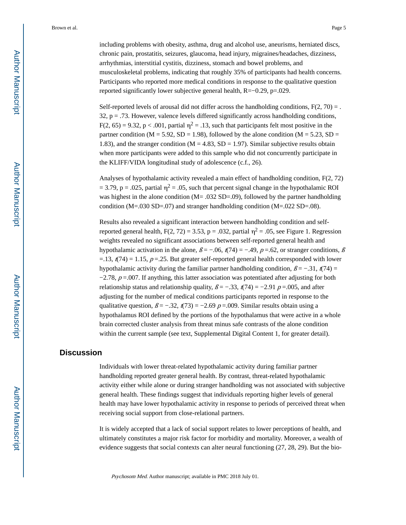including problems with obesity, asthma, drug and alcohol use, aneurisms, herniated discs, chronic pain, prostatitis, seizures, glaucoma, head injury, migraines/headaches, dizziness, arrhythmias, interstitial cystitis, dizziness, stomach and bowel problems, and musculoskeletal problems, indicating that roughly 35% of participants had health concerns. Participants who reported more medical conditions in response to the qualitative question reported significantly lower subjective general health, R=−0.29, p=.029.

Self-reported levels of arousal did not differ across the handholding conditions,  $F(2, 70) =$ .  $32$ ,  $p = .73$ . However, valence levels differed significantly across handholding conditions,  $F(2, 65) = 9.32$ ,  $p < .001$ , partial  $\eta^2 = .13$ , such that participants felt most positive in the partner condition ( $M = 5.92$ ,  $SD = 1.98$ ), followed by the alone condition ( $M = 5.23$ ,  $SD =$ 1.83), and the stranger condition ( $M = 4.83$ ,  $SD = 1.97$ ). Similar subjective results obtain when more participants were added to this sample who did not concurrently participate in the KLIFF/VIDA longitudinal study of adolescence (c.f., 26).

Analyses of hypothalamic activity revealed a main effect of handholding condition,  $F(2, 72)$  $= 3.79$ , p = .025, partial  $\eta^2 = .05$ , such that percent signal change in the hypothalamic ROI was highest in the alone condition (M= .032 SD=.09), followed by the partner handholding condition (M=.030 SD=.07) and stranger handholding condition (M=.022 SD=.08).

Results also revealed a significant interaction between handholding condition and selfreported general health,  $F(2, 72) = 3.53$ ,  $p = .032$ , partial  $\eta^2 = .05$ , see Figure 1. Regression weights revealed no significant associations between self-reported general health and hypothalamic activation in the alone,  $\beta = -0.06$ ,  $\gamma = (-49, p = 0.62, \text{ or } 500)$  stranger conditions,  $\beta$  $=$ .13,  $t(74) = 1.15$ ,  $p = 0.25$ . But greater self-reported general health corresponded with lower hypothalamic activity during the familiar partner handholding condition,  $\beta = -.31$ ,  $t(74) =$  $-2.78$ ,  $p = .007$ . If anything, this latter association was potentiated after adjusting for both relationship status and relationship quality,  $\beta = -.33$ ,  $t(74) = -2.91$  p=.005, and after adjusting for the number of medical conditions participants reported in response to the qualitative question,  $\beta = -.32$ ,  $t(73) = -2.69$  p = 009. Similar results obtain using a hypothalamus ROI defined by the portions of the hypothalamus that were active in a whole brain corrected cluster analysis from threat minus safe contrasts of the alone condition within the current sample (see text, Supplemental Digital Content 1, for greater detail).

## **Discussion**

Individuals with lower threat-related hypothalamic activity during familiar partner handholding reported greater general health. By contrast, threat-related hypothalamic activity either while alone or during stranger handholding was not associated with subjective general health. These findings suggest that individuals reporting higher levels of general health may have lower hypothalamic activity in response to periods of perceived threat when receiving social support from close-relational partners.

It is widely accepted that a lack of social support relates to lower perceptions of health, and ultimately constitutes a major risk factor for morbidity and mortality. Moreover, a wealth of evidence suggests that social contexts can alter neural functioning (27, 28, 29). But the bio-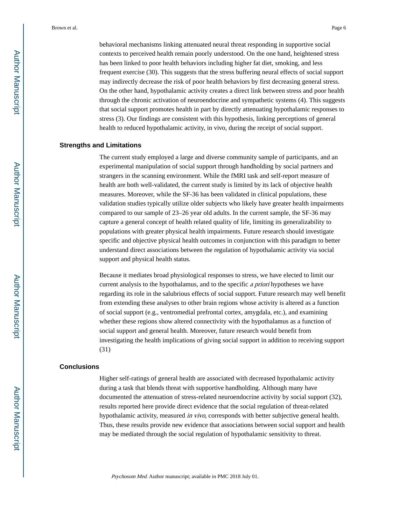behavioral mechanisms linking attenuated neural threat responding in supportive social contexts to perceived health remain poorly understood. On the one hand, heightened stress has been linked to poor health behaviors including higher fat diet, smoking, and less frequent exercise (30). This suggests that the stress buffering neural effects of social support may indirectly decrease the risk of poor health behaviors by first decreasing general stress. On the other hand, hypothalamic activity creates a direct link between stress and poor health through the chronic activation of neuroendocrine and sympathetic systems (4). This suggests that social support promotes health in part by directly attenuating hypothalamic responses to stress (3). Our findings are consistent with this hypothesis, linking perceptions of general health to reduced hypothalamic activity, in vivo, during the receipt of social support.

#### **Strengths and Limitations**

The current study employed a large and diverse community sample of participants, and an experimental manipulation of social support through handholding by social partners and strangers in the scanning environment. While the fMRI task and self-report measure of health are both well-validated, the current study is limited by its lack of objective health measures. Moreover, while the SF-36 has been validated in clinical populations, these validation studies typically utilize older subjects who likely have greater health impairments compared to our sample of 23–26 year old adults. In the current sample, the SF-36 may capture a general concept of health related quality of life, limiting its generalizability to populations with greater physical health impairments. Future research should investigate specific and objective physical health outcomes in conjunction with this paradigm to better understand direct associations between the regulation of hypothalamic activity via social support and physical health status.

Because it mediates broad physiological responses to stress, we have elected to limit our current analysis to the hypothalamus, and to the specific a priori hypotheses we have regarding its role in the salubrious effects of social support. Future research may well benefit from extending these analyses to other brain regions whose activity is altered as a function of social support (e.g., ventromedial prefrontal cortex, amygdala, etc.), and examining whether these regions show altered connectivity with the hypothalamus as a function of social support and general health. Moreover, future research would benefit from investigating the health implications of giving social support in addition to receiving support (31)

#### **Conclusions**

Higher self-ratings of general health are associated with decreased hypothalamic activity during a task that blends threat with supportive handholding. Although many have documented the attenuation of stress-related neuroendocrine activity by social support (32), results reported here provide direct evidence that the social regulation of threat-related hypothalamic activity, measured in vivo, corresponds with better subjective general health. Thus, these results provide new evidence that associations between social support and health may be mediated through the social regulation of hypothalamic sensitivity to threat.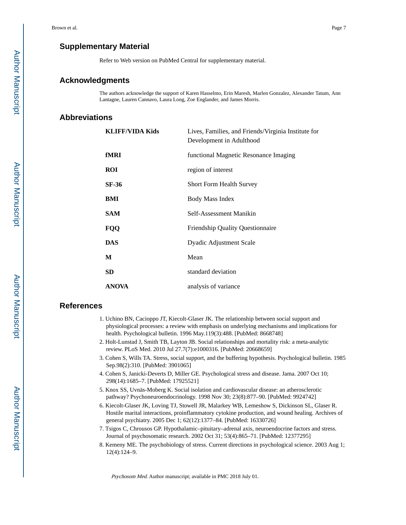## **Supplementary Material**

Refer to Web version on PubMed Central for supplementary material.

## **Acknowledgments**

The authors acknowledge the support of Karen Hasselmo, Erin Maresh, Marlen Gonzalez, Alexander Tatum, Ann Lantagne, Lauren Cannavo, Laura Long, Zoe Englander, and James Morris.

## **Abbreviations**

| <b>KLIFF/VIDA Kids</b> | Lives, Families, and Friends/Virginia Institute for<br>Development in Adulthood |
|------------------------|---------------------------------------------------------------------------------|
| fMRI                   | functional Magnetic Resonance Imaging                                           |
| <b>ROI</b>             | region of interest                                                              |
| SF-36                  | <b>Short Form Health Survey</b>                                                 |
| BMI                    | <b>Body Mass Index</b>                                                          |
| <b>SAM</b>             | Self-Assessment Manikin                                                         |
| FQQ                    | <b>Friendship Quality Questionnaire</b>                                         |
| DAS                    | Dyadic Adjustment Scale                                                         |
| М                      | Mean                                                                            |
| <b>SD</b>              | standard deviation                                                              |
| <b>ANOVA</b>           | analysis of variance                                                            |

## **References**

- 1. Uchino BN, Cacioppo JT, Kiecolt-Glaser JK. The relationship between social support and physiological processes: a review with emphasis on underlying mechanisms and implications for health. Psychological bulletin. 1996 May.119(3):488. [PubMed: 8668748]
- 2. Holt-Lunstad J, Smith TB, Layton JB. Social relationships and mortality risk: a meta-analytic review. PLoS Med. 2010 Jul 27.7(7):e1000316. [PubMed: 20668659]
- 3. Cohen S, Wills TA. Stress, social support, and the buffering hypothesis. Psychological bulletin. 1985 Sep.98(2):310. [PubMed: 3901065]
- 4. Cohen S, Janicki-Deverts D, Miller GE. Psychological stress and disease. Jama. 2007 Oct 10; 298(14):1685–7. [PubMed: 17925521]
- 5. Knox SS, Uvnäs-Moberg K. Social isolation and cardiovascular disease: an atherosclerotic pathway? Psychoneuroendocrinology. 1998 Nov 30; 23(8):877–90. [PubMed: 9924742]
- 6. Kiecolt-Glaser JK, Loving TJ, Stowell JR, Malarkey WB, Lemeshow S, Dickinson SL, Glaser R. Hostile marital interactions, proinflammatory cytokine production, and wound healing. Archives of general psychiatry. 2005 Dec 1; 62(12):1377–84. [PubMed: 16330726]
- 7. Tsigos C, Chrousos GP. Hypothalamic–pituitary–adrenal axis, neuroendocrine factors and stress. Journal of psychosomatic research. 2002 Oct 31; 53(4):865–71. [PubMed: 12377295]
- 8. Kemeny ME. The psychobiology of stress. Current directions in psychological science. 2003 Aug 1; 12(4):124–9.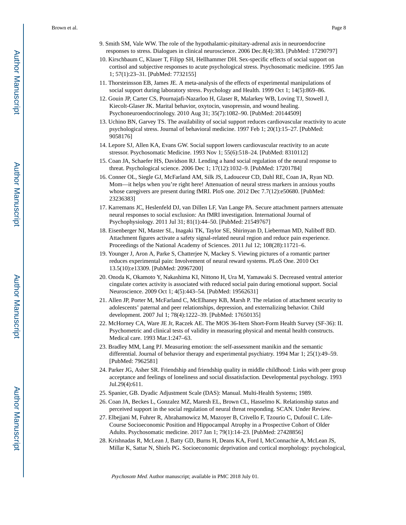- 9. Smith SM, Vale WW. The role of the hypothalamic-pituitary-adrenal axis in neuroendocrine responses to stress. Dialogues in clinical neuroscience. 2006 Dec.8(4):383. [PubMed: 17290797]
- 10. Kirschbaum C, Klauer T, Filipp SH, Hellhammer DH. Sex-specific effects of social support on cortisol and subjective responses to acute psychological stress. Psychosomatic medicine. 1995 Jan 1; 57(1):23–31. [PubMed: 7732155]
- 11. Thorsteinsson EB, James JE. A meta-analysis of the effects of experimental manipulations of social support during laboratory stress. Psychology and Health. 1999 Oct 1; 14(5):869–86.
- 12. Gouin JP, Carter CS, Pournajafi-Nazarloo H, Glaser R, Malarkey WB, Loving TJ, Stowell J, Kiecolt-Glaser JK. Marital behavior, oxytocin, vasopressin, and wound healing. Psychoneuroendocrinology. 2010 Aug 31; 35(7):1082–90. [PubMed: 20144509]
- 13. Uchino BN, Garvey TS. The availability of social support reduces cardiovascular reactivity to acute psychological stress. Journal of behavioral medicine. 1997 Feb 1; 20(1):15–27. [PubMed: 9058176]
- 14. Lepore SJ, Allen KA, Evans GW. Social support lowers cardiovascular reactivity to an acute stressor. Psychosomatic Medicine. 1993 Nov 1; 55(6):518–24. [PubMed: 8310112]
- 15. Coan JA, Schaefer HS, Davidson RJ. Lending a hand social regulation of the neural response to threat. Psychological science. 2006 Dec 1; 17(12):1032–9. [PubMed: 17201784]
- 16. Conner OL, Siegle GJ, McFarland AM, Silk JS, Ladouceur CD, Dahl RE, Coan JA, Ryan ND. Mom—it helps when you're right here! Attenuation of neural stress markers in anxious youths whose caregivers are present during fMRI. PloS one. 2012 Dec 7.7(12):e50680. [PubMed: 23236383]
- 17. Karremans JC, Heslenfeld DJ, van Dillen LF, Van Lange PA. Secure attachment partners attenuate neural responses to social exclusion: An fMRI investigation. International Journal of Psychophysiology. 2011 Jul 31; 81(1):44–50. [PubMed: 21549767]
- 18. Eisenberger NI, Master SL, Inagaki TK, Taylor SE, Shirinyan D, Lieberman MD, Naliboff BD. Attachment figures activate a safety signal-related neural region and reduce pain experience. Proceedings of the National Academy of Sciences. 2011 Jul 12; 108(28):11721–6.
- 19. Younger J, Aron A, Parke S, Chatterjee N, Mackey S. Viewing pictures of a romantic partner reduces experimental pain: Involvement of neural reward systems. PLoS One. 2010 Oct 13.5(10):e13309. [PubMed: 20967200]
- 20. Onoda K, Okamoto Y, Nakashima KI, Nittono H, Ura M, Yamawaki S. Decreased ventral anterior cingulate cortex activity is associated with reduced social pain during emotional support. Social Neuroscience. 2009 Oct 1; 4(5):443–54. [PubMed: 19562631]
- 21. Allen JP, Porter M, McFarland C, McElhaney KB, Marsh P. The relation of attachment security to adolescents' paternal and peer relationships, depression, and externalizing behavior. Child development. 2007 Jul 1; 78(4):1222–39. [PubMed: 17650135]
- 22. McHorney CA, Ware JE Jr, Raczek AE. The MOS 36-Item Short-Form Health Survey (SF-36): II. Psychometric and clinical tests of validity in measuring physical and mental health constructs. Medical care. 1993 Mar.1:247–63.
- 23. Bradley MM, Lang PJ. Measuring emotion: the self-assessment manikin and the semantic differential. Journal of behavior therapy and experimental psychiatry. 1994 Mar 1; 25(1):49–59. [PubMed: 7962581]
- 24. Parker JG, Asher SR. Friendship and friendship quality in middle childhood: Links with peer group acceptance and feelings of loneliness and social dissatisfaction. Developmental psychology. 1993 Jul.29(4):611.
- 25. Spanier, GB. Dyadic Adjustment Scale (DAS): Manual. Multi-Health Systems; 1989.
- 26. Coan JA, Beckes L, Gonzalez MZ, Maresh EL, Brown CL, Hasselmo K. Relationship status and perceived support in the social regulation of neural threat responding. SCAN. Under Review.
- 27. Elbejjani M, Fuhrer R, Abrahamowicz M, Mazoyer B, Crivello F, Tzourio C, Dufouil C. Life-Course Socioeconomic Position and Hippocampal Atrophy in a Prospective Cohort of Older Adults. Psychosomatic medicine. 2017 Jan 1; 79(1):14–23. [PubMed: 27428856]
- 28. Krishnadas R, McLean J, Batty GD, Burns H, Deans KA, Ford I, McConnachie A, McLean JS, Millar K, Sattar N, Shiels PG. Socioeconomic deprivation and cortical morphology: psychological,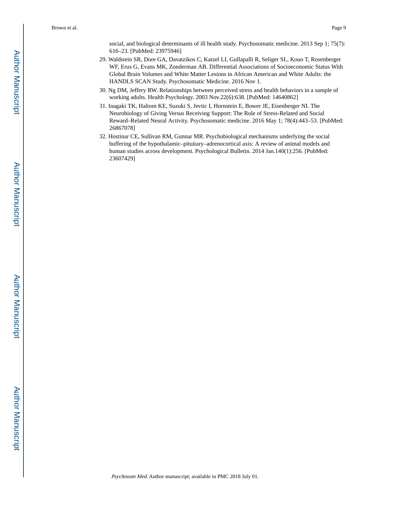social, and biological determinants of ill health study. Psychosomatic medicine. 2013 Sep 1; 75(7): 616–23. [PubMed: 23975946]

- 29. Waldstein SR, Dore GA, Davatzikos C, Katzel LI, Gullapalli R, Seliger SL, Kouo T, Rosenberger WF, Erus G, Evans MK, Zonderman AB. Differential Associations of Socioeconomic Status With Global Brain Volumes and White Matter Lesions in African American and White Adults: the HANDLS SCAN Study. Psychosomatic Medicine. 2016 Nov 1.
- 30. Ng DM, Jeffery RW. Relationships between perceived stress and health behaviors in a sample of working adults. Health Psychology. 2003 Nov.22(6):638. [PubMed: 14640862]
- 31. Inagaki TK, Haltom KE, Suzuki S, Jevtic I, Hornstein E, Bower JE, Eisenberger NI. The Neurobiology of Giving Versus Receiving Support: The Role of Stress-Related and Social Reward–Related Neural Activity. Psychosomatic medicine. 2016 May 1; 78(4):443–53. [PubMed: 26867078]
- 32. Hostinar CE, Sullivan RM, Gunnar MR. Psychobiological mechanisms underlying the social buffering of the hypothalamic–pituitary–adrenocortical axis: A review of animal models and human studies across development. Psychological Bulletin. 2014 Jan.140(1):256. [PubMed: 23607429]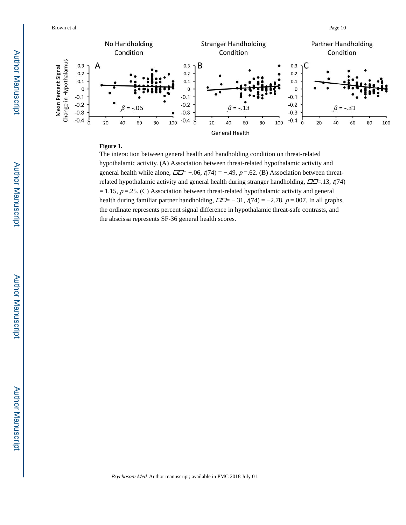

#### **Figure 1.**

The interaction between general health and handholding condition on threat-related hypothalamic activity. (A) Association between threat-related hypothalamic activity and general health while alone,  $\Box \Box = -0.06$ ,  $t(74) = -0.49$ ,  $p = 0.62$ . (B) Association between threatrelated hypothalamic activity and general health during stranger handholding,  $\Box \Box = .13$ ,  $t(74)$  $= 1.15$ ,  $p = 0.25$ . (C) Association between threat-related hypothalamic activity and general health during familiar partner handholding,  $\Box \Box = -.31$ ,  $t(74) = -2.78$ ,  $p = .007$ . In all graphs, the ordinate represents percent signal difference in hypothalamic threat-safe contrasts, and the abscissa represents SF-36 general health scores.